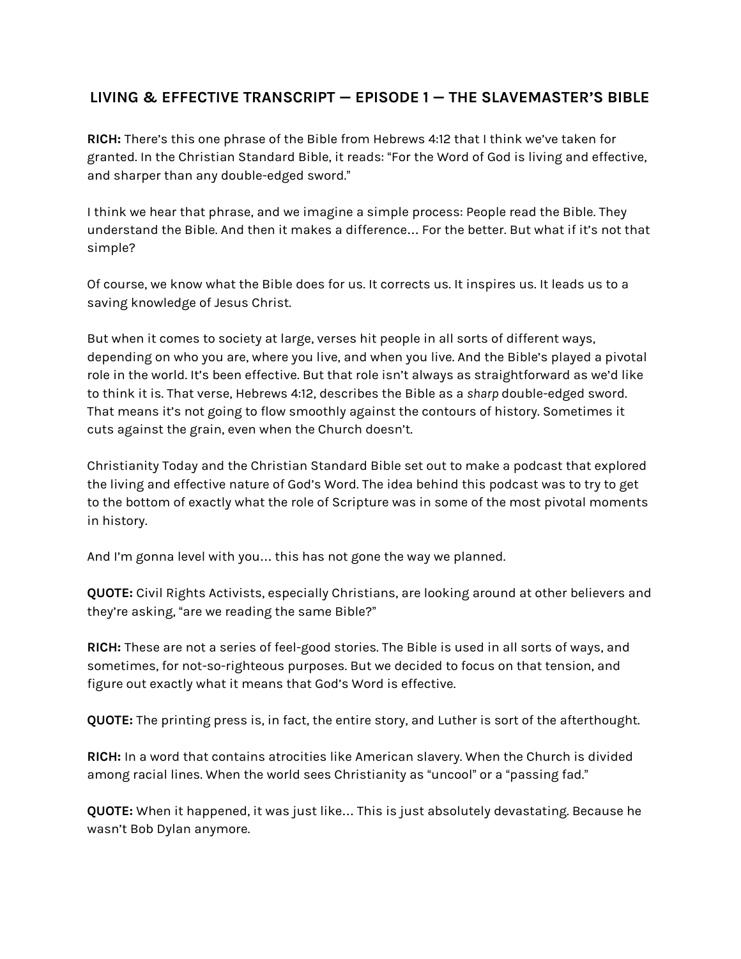## **LIVING & EFFECTIVE TRANSCRIPT — EPISODE 1 — THE SLAVEMASTER'S BIBLE**

**RICH:** There's this one phrase of the Bible from Hebrews 4:12 that I think we've taken for granted. In the Christian Standard Bible, it reads: "For the Word of God is living and effective, and sharper than any double-edged sword."

I think we hear that phrase, and we imagine a simple process: People read the Bible. They understand the Bible. And then it makes a difference… For the better. But what if it's not that simple?

Of course, we know what the Bible does for us. It corrects us. It inspires us. It leads us to a saving knowledge of Jesus Christ.

But when it comes to society at large, verses hit people in all sorts of different ways, depending on who you are, where you live, and when you live. And the Bible's played a pivotal role in the world. It's been effective. But that role isn't always as straightforward as we'd like to think it is. That verse, Hebrews 4:12, describes the Bible as a *sharp* double-edged sword. That means it's not going to flow smoothly against the contours of history. Sometimes it cuts against the grain, even when the Church doesn't.

Christianity Today and the Christian Standard Bible set out to make a podcast that explored the living and effective nature of God's Word. The idea behind this podcast was to try to get to the bottom of exactly what the role of Scripture was in some of the most pivotal moments in history.

And I'm gonna level with you… this has not gone the way we planned.

**QUOTE:** Civil Rights Activists, especially Christians, are looking around at other believers and they're asking, "are we reading the same Bible?"

**RICH:** These are not a series of feel-good stories. The Bible is used in all sorts of ways, and sometimes, for not-so-righteous purposes. But we decided to focus on that tension, and figure out exactly what it means that God's Word is effective.

**QUOTE:** The printing press is, in fact, the entire story, and Luther is sort of the afterthought.

**RICH:** In a word that contains atrocities like American slavery. When the Church is divided among racial lines. When the world sees Christianity as "uncool" or a "passing fad."

**QUOTE:** When it happened, it was just like… This is just absolutely devastating. Because he wasn't Bob Dylan anymore.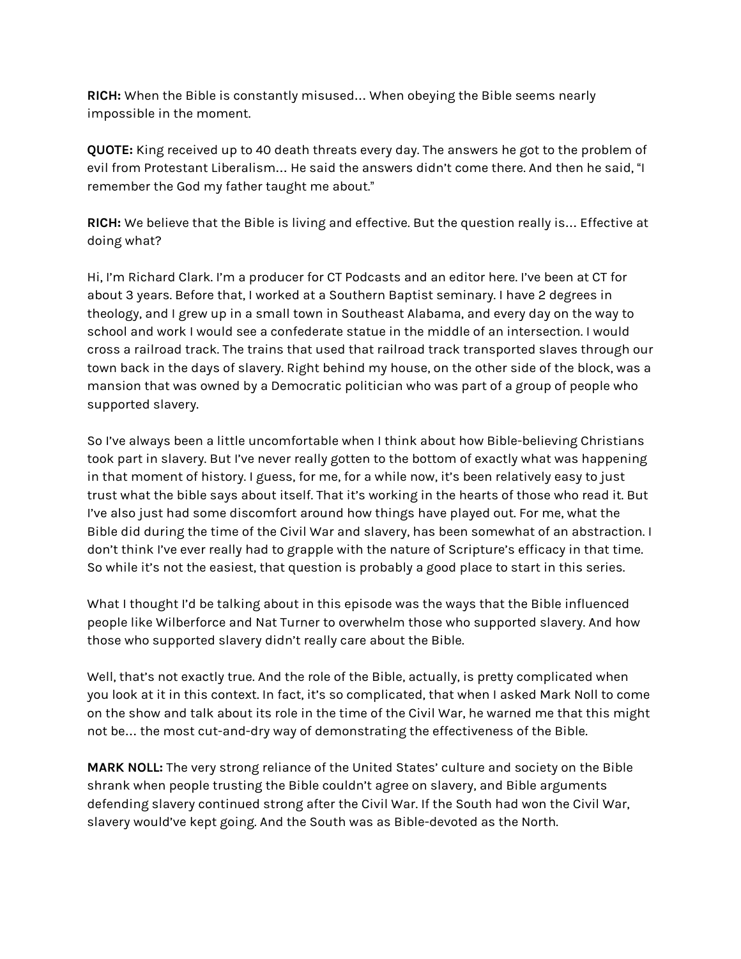**RICH:** When the Bible is constantly misused… When obeying the Bible seems nearly impossible in the moment.

**QUOTE:** King received up to 40 death threats every day. The answers he got to the problem of evil from Protestant Liberalism… He said the answers didn't come there. And then he said, "I remember the God my father taught me about."

**RICH:** We believe that the Bible is living and effective. But the question really is… Effective at doing what?

Hi, I'm Richard Clark. I'm a producer for CT Podcasts and an editor here. I've been at CT for about 3 years. Before that, I worked at a Southern Baptist seminary. I have 2 degrees in theology, and I grew up in a small town in Southeast Alabama, and every day on the way to school and work I would see a confederate statue in the middle of an intersection. I would cross a railroad track. The trains that used that railroad track transported slaves through our town back in the days of slavery. Right behind my house, on the other side of the block, was a mansion that was owned by a Democratic politician who was part of a group of people who supported slavery.

So I've always been a little uncomfortable when I think about how Bible-believing Christians took part in slavery. But I've never really gotten to the bottom of exactly what was happening in that moment of history. I guess, for me, for a while now, it's been relatively easy to just trust what the bible says about itself. That it's working in the hearts of those who read it. But I've also just had some discomfort around how things have played out. For me, what the Bible did during the time of the Civil War and slavery, has been somewhat of an abstraction. I don't think I've ever really had to grapple with the nature of Scripture's efficacy in that time. So while it's not the easiest, that question is probably a good place to start in this series.

What I thought I'd be talking about in this episode was the ways that the Bible influenced people like Wilberforce and Nat Turner to overwhelm those who supported slavery. And how those who supported slavery didn't really care about the Bible.

Well, that's not exactly true. And the role of the Bible, actually, is pretty complicated when you look at it in this context. In fact, it's so complicated, that when I asked Mark Noll to come on the show and talk about its role in the time of the Civil War, he warned me that this might not be… the most cut-and-dry way of demonstrating the effectiveness of the Bible.

**MARK NOLL:** The very strong reliance of the United States' culture and society on the Bible shrank when people trusting the Bible couldn't agree on slavery, and Bible arguments defending slavery continued strong after the Civil War. If the South had won the Civil War, slavery would've kept going. And the South was as Bible-devoted as the North.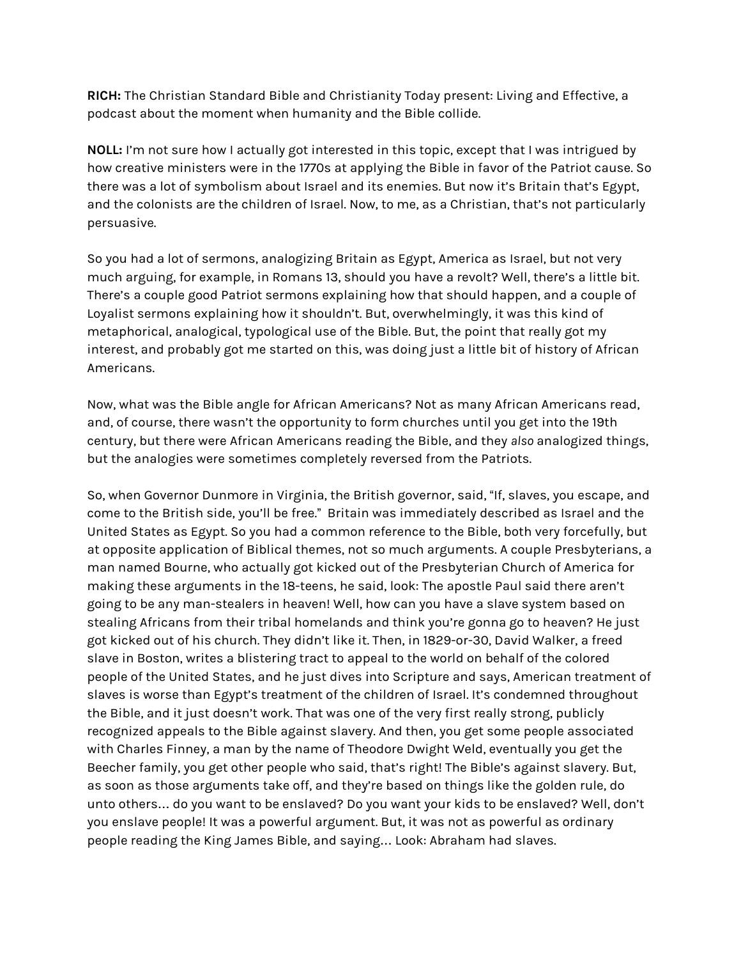**RICH:** The Christian Standard Bible and Christianity Today present: Living and Effective, a podcast about the moment when humanity and the Bible collide.

**NOLL:** I'm not sure how I actually got interested in this topic, except that I was intrigued by how creative ministers were in the 1770s at applying the Bible in favor of the Patriot cause. So there was a lot of symbolism about Israel and its enemies. But now it's Britain that's Egypt, and the colonists are the children of Israel. Now, to me, as a Christian, that's not particularly persuasive.

So you had a lot of sermons, analogizing Britain as Egypt, America as Israel, but not very much arguing, for example, in Romans 13, should you have a revolt? Well, there's a little bit. There's a couple good Patriot sermons explaining how that should happen, and a couple of Loyalist sermons explaining how it shouldn't. But, overwhelmingly, it was this kind of metaphorical, analogical, typological use of the Bible. But, the point that really got my interest, and probably got me started on this, was doing just a little bit of history of African Americans.

Now, what was the Bible angle for African Americans? Not as many African Americans read, and, of course, there wasn't the opportunity to form churches until you get into the 19th century, but there were African Americans reading the Bible, and they *also* analogized things, but the analogies were sometimes completely reversed from the Patriots.

So, when Governor Dunmore in Virginia, the British governor, said, "If, slaves, you escape, and come to the British side, you'll be free." Britain was immediately described as Israel and the United States as Egypt. So you had a common reference to the Bible, both very forcefully, but at opposite application of Biblical themes, not so much arguments. A couple Presbyterians, a man named Bourne, who actually got kicked out of the Presbyterian Church of America for making these arguments in the 18-teens, he said, look: The apostle Paul said there aren't going to be any man-stealers in heaven! Well, how can you have a slave system based on stealing Africans from their tribal homelands and think you're gonna go to heaven? He just got kicked out of his church. They didn't like it. Then, in 1829-or-30, David Walker, a freed slave in Boston, writes a blistering tract to appeal to the world on behalf of the colored people of the United States, and he just dives into Scripture and says, American treatment of slaves is worse than Egypt's treatment of the children of Israel. It's condemned throughout the Bible, and it just doesn't work. That was one of the very first really strong, publicly recognized appeals to the Bible against slavery. And then, you get some people associated with Charles Finney, a man by the name of Theodore Dwight Weld, eventually you get the Beecher family, you get other people who said, that's right! The Bible's against slavery. But, as soon as those arguments take off, and they're based on things like the golden rule, do unto others… do you want to be enslaved? Do you want your kids to be enslaved? Well, don't you enslave people! It was a powerful argument. But, it was not as powerful as ordinary people reading the King James Bible, and saying… Look: Abraham had slaves.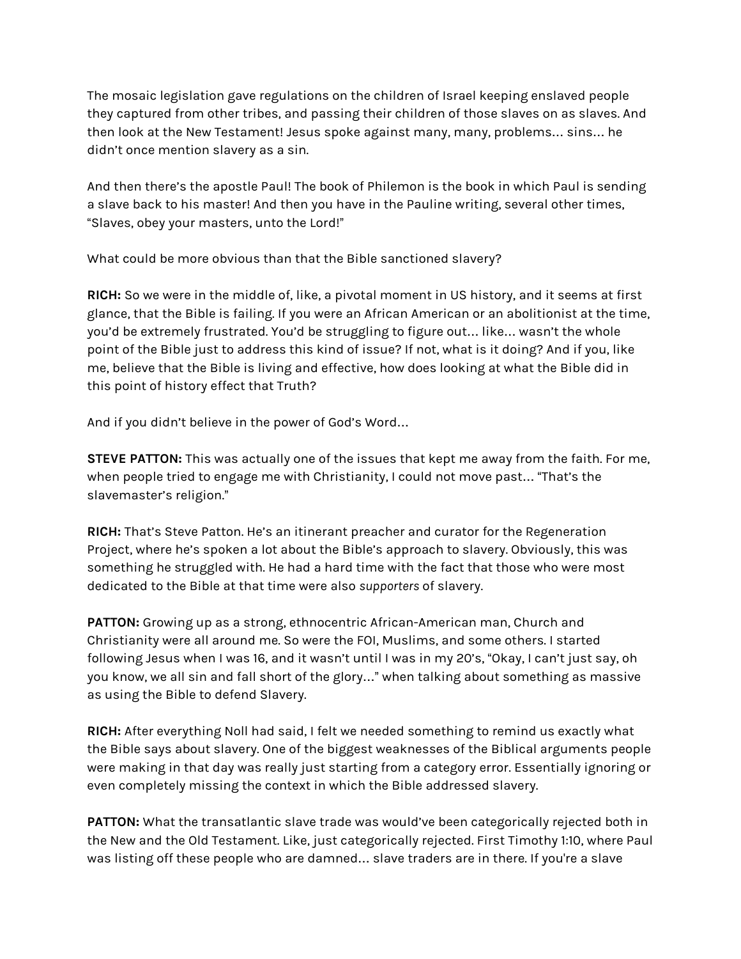The mosaic legislation gave regulations on the children of Israel keeping enslaved people they captured from other tribes, and passing their children of those slaves on as slaves. And then look at the New Testament! Jesus spoke against many, many, problems… sins… he didn't once mention slavery as a sin.

And then there's the apostle Paul! The book of Philemon is the book in which Paul is sending a slave back to his master! And then you have in the Pauline writing, several other times, "Slaves, obey your masters, unto the Lord!"

What could be more obvious than that the Bible sanctioned slavery?

**RICH:** So we were in the middle of, like, a pivotal moment in US history, and it seems at first glance, that the Bible is failing. If you were an African American or an abolitionist at the time, you'd be extremely frustrated. You'd be struggling to figure out… like… wasn't the whole point of the Bible just to address this kind of issue? If not, what is it doing? And if you, like me, believe that the Bible is living and effective, how does looking at what the Bible did in this point of history effect that Truth?

And if you didn't believe in the power of God's Word…

**STEVE PATTON:** This was actually one of the issues that kept me away from the faith. For me, when people tried to engage me with Christianity, I could not move past… "That's the slavemaster's religion."

**RICH:** That's Steve Patton. He's an itinerant preacher and curator for the Regeneration Project, where he's spoken a lot about the Bible's approach to slavery. Obviously, this was something he struggled with. He had a hard time with the fact that those who were most dedicated to the Bible at that time were also *supporters* of slavery.

**PATTON:** Growing up as a strong, ethnocentric African-American man, Church and Christianity were all around me. So were the FOI, Muslims, and some others. I started following Jesus when I was 16, and it wasn't until I was in my 20's, "Okay, I can't just say, oh you know, we all sin and fall short of the glory…" when talking about something as massive as using the Bible to defend Slavery.

**RICH:** After everything Noll had said, I felt we needed something to remind us exactly what the Bible says about slavery. One of the biggest weaknesses of the Biblical arguments people were making in that day was really just starting from a category error. Essentially ignoring or even completely missing the context in which the Bible addressed slavery.

**PATTON:** What the transatlantic slave trade was would've been categorically rejected both in the New and the Old Testament. Like, just categorically rejected. First Timothy 1:10, where Paul was listing off these people who are damned… slave traders are in there. If you're a slave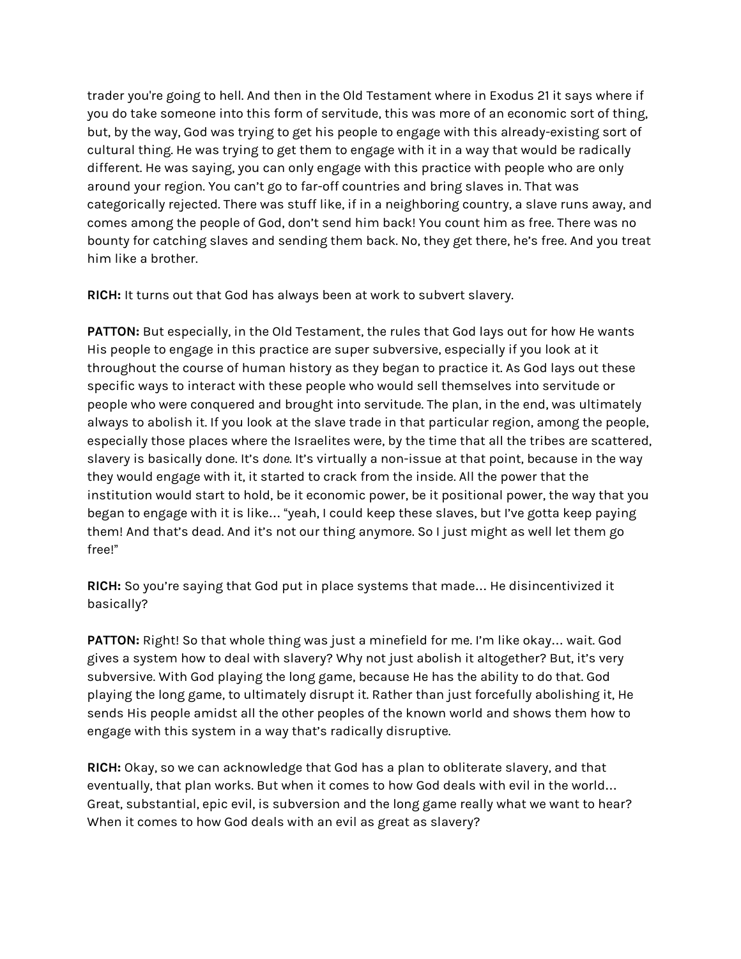trader you're going to hell. And then in the Old Testament where in Exodus 21 it says where if you do take someone into this form of servitude, this was more of an economic sort of thing, but, by the way, God was trying to get his people to engage with this already-existing sort of cultural thing. He was trying to get them to engage with it in a way that would be radically different. He was saying, you can only engage with this practice with people who are only around your region. You can't go to far-off countries and bring slaves in. That was categorically rejected. There was stuff like, if in a neighboring country, a slave runs away, and comes among the people of God, don't send him back! You count him as free. There was no bounty for catching slaves and sending them back. No, they get there, he's free. And you treat him like a brother.

**RICH:** It turns out that God has always been at work to subvert slavery.

**PATTON:** But especially, in the Old Testament, the rules that God lays out for how He wants His people to engage in this practice are super subversive, especially if you look at it throughout the course of human history as they began to practice it. As God lays out these specific ways to interact with these people who would sell themselves into servitude or people who were conquered and brought into servitude. The plan, in the end, was ultimately always to abolish it. If you look at the slave trade in that particular region, among the people, especially those places where the Israelites were, by the time that all the tribes are scattered, slavery is basically done. It's *done*. It's virtually a non-issue at that point, because in the way they would engage with it, it started to crack from the inside. All the power that the institution would start to hold, be it economic power, be it positional power, the way that you began to engage with it is like… "yeah, I could keep these slaves, but I've gotta keep paying them! And that's dead. And it's not our thing anymore. So I just might as well let them go free!"

**RICH:** So you're saying that God put in place systems that made… He disincentivized it basically?

**PATTON:** Right! So that whole thing was just a minefield for me. I'm like okay… wait. God gives a system how to deal with slavery? Why not just abolish it altogether? But, it's very subversive. With God playing the long game, because He has the ability to do that. God playing the long game, to ultimately disrupt it. Rather than just forcefully abolishing it, He sends His people amidst all the other peoples of the known world and shows them how to engage with this system in a way that's radically disruptive.

**RICH:** Okay, so we can acknowledge that God has a plan to obliterate slavery, and that eventually, that plan works. But when it comes to how God deals with evil in the world… Great, substantial, epic evil, is subversion and the long game really what we want to hear? When it comes to how God deals with an evil as great as slavery?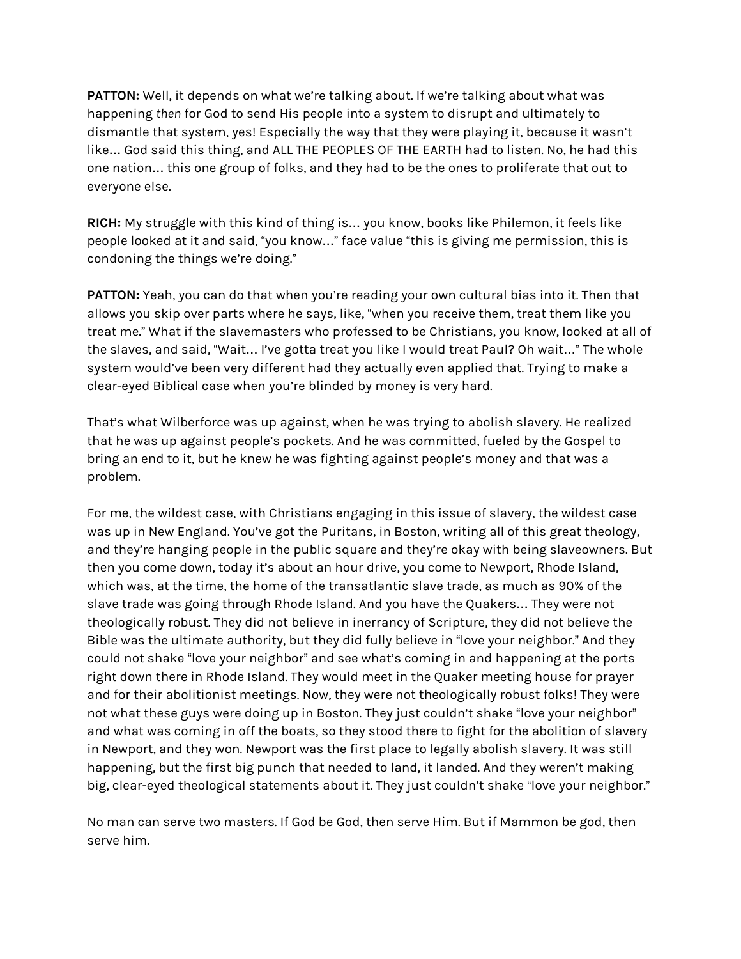**PATTON:** Well, it depends on what we're talking about. If we're talking about what was happening *then* for God to send His people into a system to disrupt and ultimately to dismantle that system, yes! Especially the way that they were playing it, because it wasn't like… God said this thing, and ALL THE PEOPLES OF THE EARTH had to listen. No, he had this one nation… this one group of folks, and they had to be the ones to proliferate that out to everyone else.

**RICH:** My struggle with this kind of thing is… you know, books like Philemon, it feels like people looked at it and said, "you know…" face value "this is giving me permission, this is condoning the things we're doing."

**PATTON:** Yeah, you can do that when you're reading your own cultural bias into it. Then that allows you skip over parts where he says, like, "when you receive them, treat them like you treat me." What if the slavemasters who professed to be Christians, you know, looked at all of the slaves, and said, "Wait… I've gotta treat you like I would treat Paul? Oh wait…" The whole system would've been very different had they actually even applied that. Trying to make a clear-eyed Biblical case when you're blinded by money is very hard.

That's what Wilberforce was up against, when he was trying to abolish slavery. He realized that he was up against people's pockets. And he was committed, fueled by the Gospel to bring an end to it, but he knew he was fighting against people's money and that was a problem.

For me, the wildest case, with Christians engaging in this issue of slavery, the wildest case was up in New England. You've got the Puritans, in Boston, writing all of this great theology, and they're hanging people in the public square and they're okay with being slaveowners. But then you come down, today it's about an hour drive, you come to Newport, Rhode Island, which was, at the time, the home of the transatlantic slave trade, as much as 90% of the slave trade was going through Rhode Island. And you have the Quakers… They were not theologically robust. They did not believe in inerrancy of Scripture, they did not believe the Bible was the ultimate authority, but they did fully believe in "love your neighbor." And they could not shake "love your neighbor" and see what's coming in and happening at the ports right down there in Rhode Island. They would meet in the Quaker meeting house for prayer and for their abolitionist meetings. Now, they were not theologically robust folks! They were not what these guys were doing up in Boston. They just couldn't shake "love your neighbor" and what was coming in off the boats, so they stood there to fight for the abolition of slavery in Newport, and they won. Newport was the first place to legally abolish slavery. It was still happening, but the first big punch that needed to land, it landed. And they weren't making big, clear-eyed theological statements about it. They just couldn't shake "love your neighbor."

No man can serve two masters. If God be God, then serve Him. But if Mammon be god, then serve him.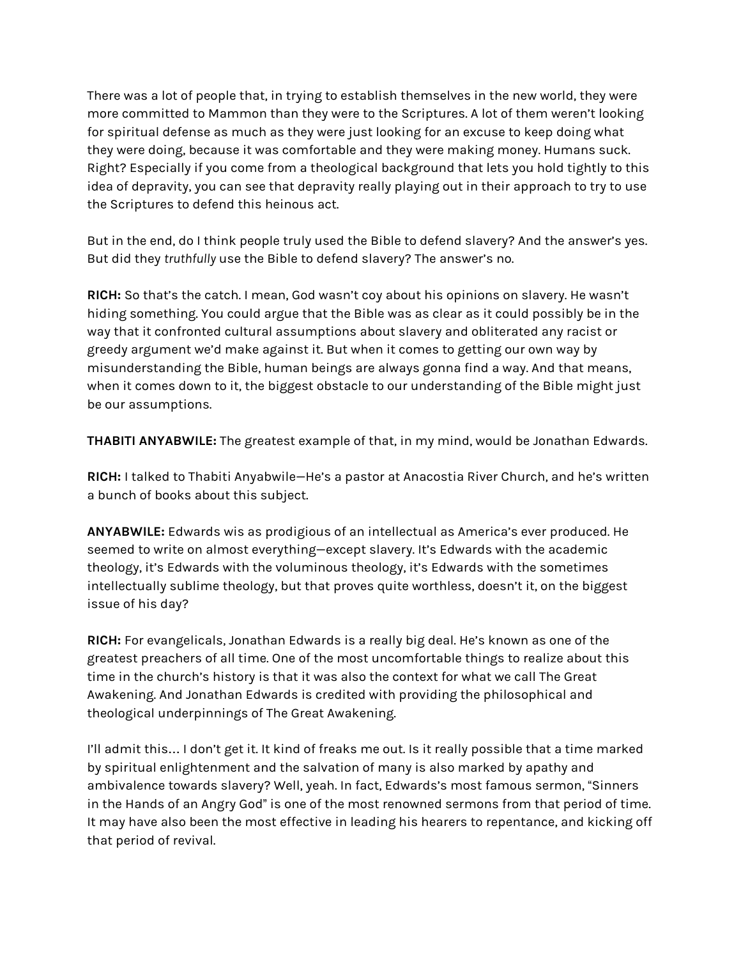There was a lot of people that, in trying to establish themselves in the new world, they were more committed to Mammon than they were to the Scriptures. A lot of them weren't looking for spiritual defense as much as they were just looking for an excuse to keep doing what they were doing, because it was comfortable and they were making money. Humans suck. Right? Especially if you come from a theological background that lets you hold tightly to this idea of depravity, you can see that depravity really playing out in their approach to try to use the Scriptures to defend this heinous act.

But in the end, do I think people truly used the Bible to defend slavery? And the answer's yes. But did they *truthfully* use the Bible to defend slavery? The answer's no.

**RICH:** So that's the catch. I mean, God wasn't coy about his opinions on slavery. He wasn't hiding something. You could argue that the Bible was as clear as it could possibly be in the way that it confronted cultural assumptions about slavery and obliterated any racist or greedy argument we'd make against it. But when it comes to getting our own way by misunderstanding the Bible, human beings are always gonna find a way. And that means, when it comes down to it, the biggest obstacle to our understanding of the Bible might just be our assumptions.

**THABITI ANYABWILE:** The greatest example of that, in my mind, would be Jonathan Edwards.

**RICH:** I talked to Thabiti Anyabwile—He's a pastor at Anacostia River Church, and he's written a bunch of books about this subject.

**ANYABWILE:** Edwards wis as prodigious of an intellectual as America's ever produced. He seemed to write on almost everything—except slavery. It's Edwards with the academic theology, it's Edwards with the voluminous theology, it's Edwards with the sometimes intellectually sublime theology, but that proves quite worthless, doesn't it, on the biggest issue of his day?

**RICH:** For evangelicals, Jonathan Edwards is a really big deal. He's known as one of the greatest preachers of all time. One of the most uncomfortable things to realize about this time in the church's history is that it was also the context for what we call The Great Awakening. And Jonathan Edwards is credited with providing the philosophical and theological underpinnings of The Great Awakening.

I'll admit this… I don't get it. It kind of freaks me out. Is it really possible that a time marked by spiritual enlightenment and the salvation of many is also marked by apathy and ambivalence towards slavery? Well, yeah. In fact, Edwards's most famous sermon, "Sinners in the Hands of an Angry God" is one of the most renowned sermons from that period of time. It may have also been the most effective in leading his hearers to repentance, and kicking off that period of revival.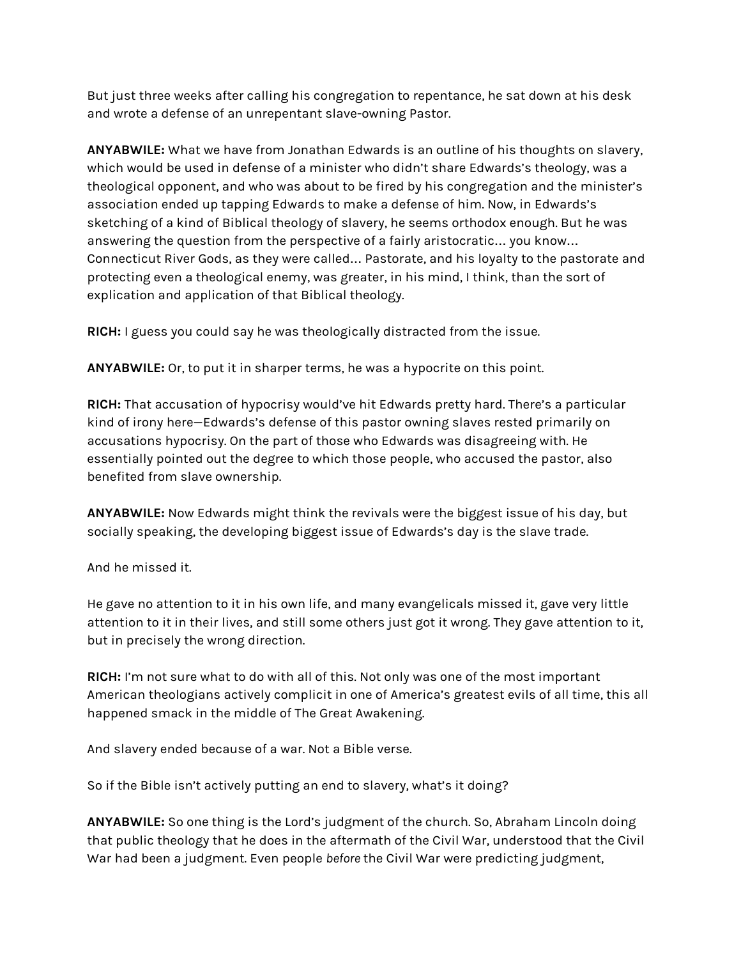But just three weeks after calling his congregation to repentance, he sat down at his desk and wrote a defense of an unrepentant slave-owning Pastor.

**ANYABWILE:** What we have from Jonathan Edwards is an outline of his thoughts on slavery, which would be used in defense of a minister who didn't share Edwards's theology, was a theological opponent, and who was about to be fired by his congregation and the minister's association ended up tapping Edwards to make a defense of him. Now, in Edwards's sketching of a kind of Biblical theology of slavery, he seems orthodox enough. But he was answering the question from the perspective of a fairly aristocratic… you know… Connecticut River Gods, as they were called… Pastorate, and his loyalty to the pastorate and protecting even a theological enemy, was greater, in his mind, I think, than the sort of explication and application of that Biblical theology.

**RICH:** I guess you could say he was theologically distracted from the issue.

**ANYABWILE:** Or, to put it in sharper terms, he was a hypocrite on this point.

**RICH:** That accusation of hypocrisy would've hit Edwards pretty hard. There's a particular kind of irony here—Edwards's defense of this pastor owning slaves rested primarily on accusations hypocrisy. On the part of those who Edwards was disagreeing with. He essentially pointed out the degree to which those people, who accused the pastor, also benefited from slave ownership.

**ANYABWILE:** Now Edwards might think the revivals were the biggest issue of his day, but socially speaking, the developing biggest issue of Edwards's day is the slave trade.

And he missed it.

He gave no attention to it in his own life, and many evangelicals missed it, gave very little attention to it in their lives, and still some others just got it wrong. They gave attention to it, but in precisely the wrong direction.

**RICH:** I'm not sure what to do with all of this. Not only was one of the most important American theologians actively complicit in one of America's greatest evils of all time, this all happened smack in the middle of The Great Awakening.

And slavery ended because of a war. Not a Bible verse.

So if the Bible isn't actively putting an end to slavery, what's it doing?

**ANYABWILE:** So one thing is the Lord's judgment of the church. So, Abraham Lincoln doing that public theology that he does in the aftermath of the Civil War, understood that the Civil War had been a judgment. Even people *before* the Civil War were predicting judgment,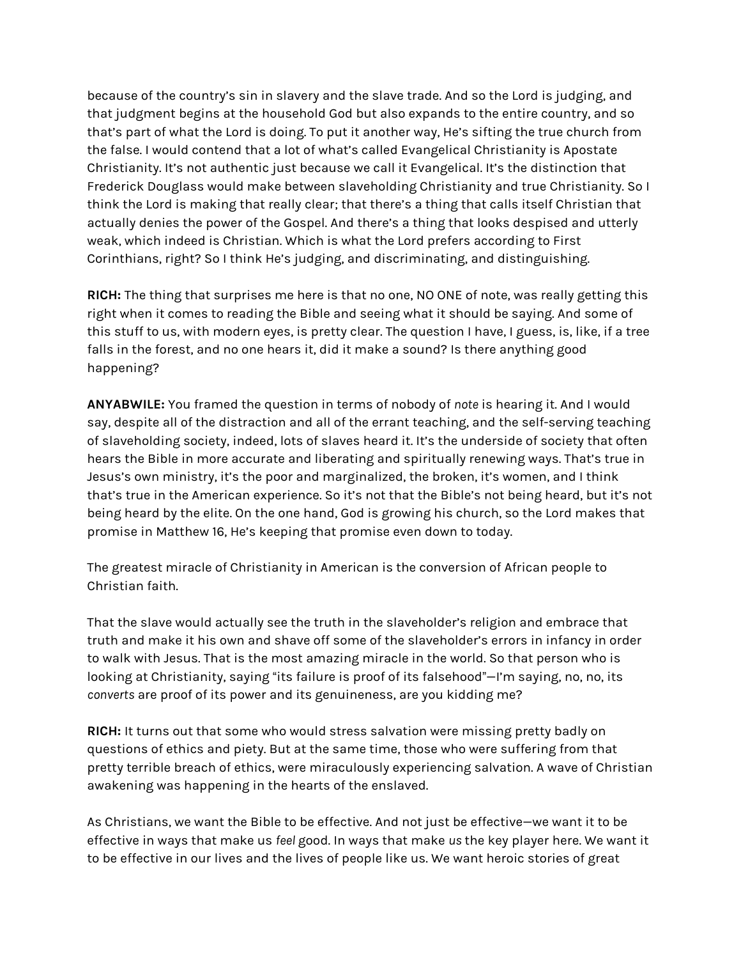because of the country's sin in slavery and the slave trade. And so the Lord is judging, and that judgment begins at the household God but also expands to the entire country, and so that's part of what the Lord is doing. To put it another way, He's sifting the true church from the false. I would contend that a lot of what's called Evangelical Christianity is Apostate Christianity. It's not authentic just because we call it Evangelical. It's the distinction that Frederick Douglass would make between slaveholding Christianity and true Christianity. So I think the Lord is making that really clear; that there's a thing that calls itself Christian that actually denies the power of the Gospel. And there's a thing that looks despised and utterly weak, which indeed is Christian. Which is what the Lord prefers according to First Corinthians, right? So I think He's judging, and discriminating, and distinguishing.

**RICH:** The thing that surprises me here is that no one, NO ONE of note, was really getting this right when it comes to reading the Bible and seeing what it should be saying. And some of this stuff to us, with modern eyes, is pretty clear. The question I have, I guess, is, like, if a tree falls in the forest, and no one hears it, did it make a sound? Is there anything good happening?

**ANYABWILE:** You framed the question in terms of nobody of *note* is hearing it. And I would say, despite all of the distraction and all of the errant teaching, and the self-serving teaching of slaveholding society, indeed, lots of slaves heard it. It's the underside of society that often hears the Bible in more accurate and liberating and spiritually renewing ways. That's true in Jesus's own ministry, it's the poor and marginalized, the broken, it's women, and I think that's true in the American experience. So it's not that the Bible's not being heard, but it's not being heard by the elite. On the one hand, God is growing his church, so the Lord makes that promise in Matthew 16, He's keeping that promise even down to today.

The greatest miracle of Christianity in American is the conversion of African people to Christian faith.

That the slave would actually see the truth in the slaveholder's religion and embrace that truth and make it his own and shave off some of the slaveholder's errors in infancy in order to walk with Jesus. That is the most amazing miracle in the world. So that person who is looking at Christianity, saying "its failure is proof of its falsehood"-I'm saying, no, no, its *converts* are proof of its power and its genuineness, are you kidding me?

**RICH:** It turns out that some who would stress salvation were missing pretty badly on questions of ethics and piety. But at the same time, those who were suffering from that pretty terrible breach of ethics, were miraculously experiencing salvation. A wave of Christian awakening was happening in the hearts of the enslaved.

As Christians, we want the Bible to be effective. And not just be effective—we want it to be effective in ways that make us *feel* good. In ways that make *us* the key player here. We want it to be effective in our lives and the lives of people like us. We want heroic stories of great